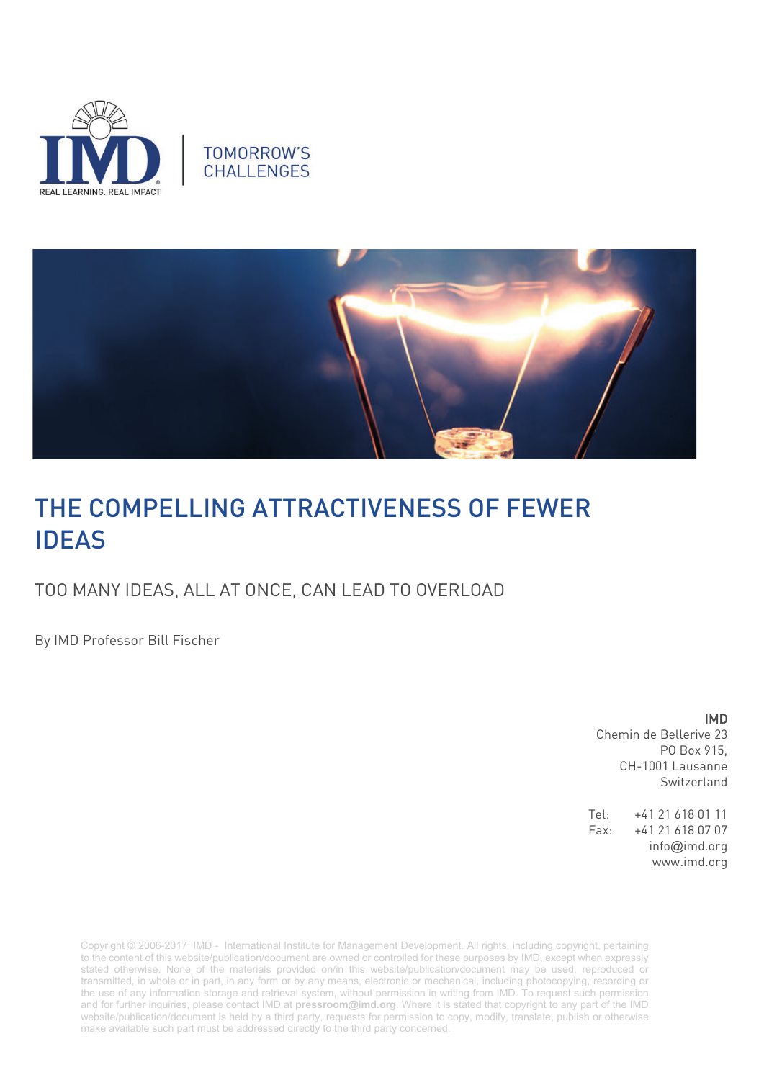





## THE COMPELLING ATTRACTIVENESS OF FEWER IDEAS

## TOO MANY IDEAS, ALL AT ONCE, CAN LEAD TO OVERLOAD

By IMD Professor Bill Fischer

IMD Chemin de Bellerive 23 PO Box 915, CH-1001 Lausanne Switzerland

Tel: +41 21 618 01 11 Fax: +41 21 618 07 07 info@imd.org www.imd.org

Copyright © 2006-2017 IMD - International Institute for Management Development. All rights, including copyright, pertaining to the content of this website/publication/document are owned or controlled for these purposes by IMD, except when expressly stated otherwise. None of the materials provided on/in this website/publication/document may be used, reproduced or transmitted, in whole or in part, in any form or by any means, electronic or mechanical, including photocopying, recording or the use of any information storage and retrieval system, without permission in writing from IMD. To request such permission and for further inquiries, please contact IMD at **[pressroom@imd.org](mailto:pressroom@imd.org)**. Where it is stated that copyright to any part of the IMD website/publication/document is held by a third party, requests for permission to copy, modify, translate, publish or otherwise make available such part must be addressed directly to the third party concerned.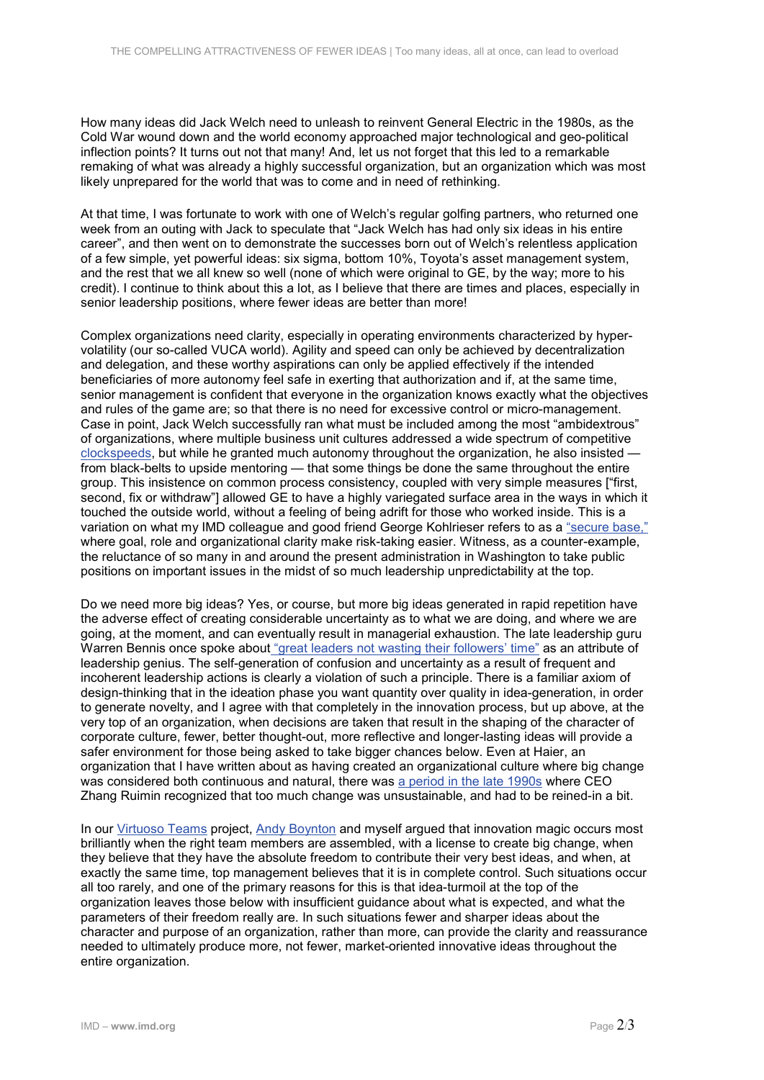How many ideas did Jack Welch need to unleash to reinvent General Electric in the 1980s, as the Cold War wound down and the world economy approached major technological and geo-political inflection points? It turns out not that many! And, let us not forget that this led to a remarkable remaking of what was already a highly successful organization, but an organization which was most likely unprepared for the world that was to come and in need of rethinking.

At that time, I was fortunate to work with one of Welch's regular golfing partners, who returned one week from an outing with Jack to speculate that "Jack Welch has had only six ideas in his entire career", and then went on to demonstrate the successes born out of Welch's relentless application of a few simple, yet powerful ideas: six sigma, bottom 10%, Toyota's asset management system, and the rest that we all knew so well (none of which were original to GE, by the way; more to his credit). I continue to think about this a lot, as I believe that there are times and places, especially in senior leadership positions, where fewer ideas are better than more!

Complex organizations need clarity, especially in operating environments characterized by hypervolatility (our so-called VUCA world). Agility and speed can only be achieved by decentralization and delegation, and these worthy aspirations can only be applied effectively if the intended beneficiaries of more autonomy feel safe in exerting that authorization and if, at the same time, senior management is confident that everyone in the organization knows exactly what the objectives and rules of the game are; so that there is no need for excessive control or micro-management. Case in point, Jack Welch successfully ran what must be included among the most "ambidextrous" of organizations, where multiple business unit cultures addressed a wide spectrum of competitive [clockspeeds,](https://www.amazon.com/Clockspeed-Winning-Industry-Temporary-Advantage-ebook/dp/B00692LQA6/ref=sr_1_1?ie=UTF8&qid=1507456150&sr=8-1&keywords=clockspeed+charles+fine) but while he granted much autonomy throughout the organization, he also insisted from black-belts to upside mentoring — that some things be done the same throughout the entire group. This insistence on common process consistency, coupled with very simple measures ["first, second, fix or withdraw"] allowed GE to have a highly variegated surface area in the ways in which it touched the outside world, without a feeling of being adrift for those who worked inside. This is a variation on what my IMD colleague and good friend George Kohlrieser refers to as a ["secure base,"](https://smile.amazon.com/Hostage-Table-Overcome-Influence-Performance/dp/0787983845/ref=tmm_hrd_swatch_0?_encoding=UTF8&qid=1507456272&sr=1-1) where goal, role and organizational clarity make risk-taking easier. Witness, as a counter-example, the reluctance of so many in and around the present administration in Washington to take public positions on important issues in the midst of so much leadership unpredictability at the top.

Do we need more big ideas? Yes, or course, but more big ideas generated in rapid repetition have the adverse effect of creating considerable uncertainty as to what we are doing, and where we are going, at the moment, and can eventually result in managerial exhaustion. The late leadership guru Warren Bennis once spoke about ["great leaders not wasting their followers' time"](https://smile.amazon.com/Essential-Bennis-Warren/dp/1119143144/ref=sr_1_1?s=books&ie=UTF8&qid=1507456448&sr=1-1&keywords=the+essential+bennis) as an attribute of leadership genius. The self-generation of confusion and uncertainty as a result of frequent and incoherent leadership actions is clearly a violation of such a principle. There is a familiar axiom of design-thinking that in the ideation phase you want quantity over quality in idea-generation, in order to generate novelty, and I agree with that completely in the innovation process, but up above, at the very top of an organization, when decisions are taken that result in the shaping of the character of corporate culture, fewer, better thought-out, more reflective and longer-lasting ideas will provide a safer environment for those being asked to take bigger chances below. Even at Haier, an organization that I have written about as having created an organizational culture where big change was considered both continuous and natural, there was [a period in the late 1990s](https://smile.amazon.com/Reinventing-Giants-Competitor-Companies-Transform-ebook/dp/B00BRXZHDE/ref=sr_1_1?ie=UTF8&qid=1507456583&sr=8-1&keywords=reinventing+giants) where CEO Zhang Ruimin recognized that too much change was unsustainable, and had to be reined-in a bit.

In our [Virtuoso Teams](https://www.amazon.com/Virtuoso-Teams-extraordinary-stories-teams/dp/0273721836/ref=sr_1_2?ie=UTF8&qid=1507456656&sr=8-2&keywords=virtuoso+teams) project, [Andy Boynton](https://www.forbes.com/sites/andyboynton/#b3c7980900a6) and myself argued that innovation magic occurs most brilliantly when the right team members are assembled, with a license to create big change, when they believe that they have the absolute freedom to contribute their very best ideas, and when, at exactly the same time, top management believes that it is in complete control. Such situations occur all too rarely, and one of the primary reasons for this is that idea-turmoil at the top of the organization leaves those below with insufficient guidance about what is expected, and what the parameters of their freedom really are. In such situations fewer and sharper ideas about the character and purpose of an organization, rather than more, can provide the clarity and reassurance needed to ultimately produce more, not fewer, market-oriented innovative ideas throughout the entire organization.